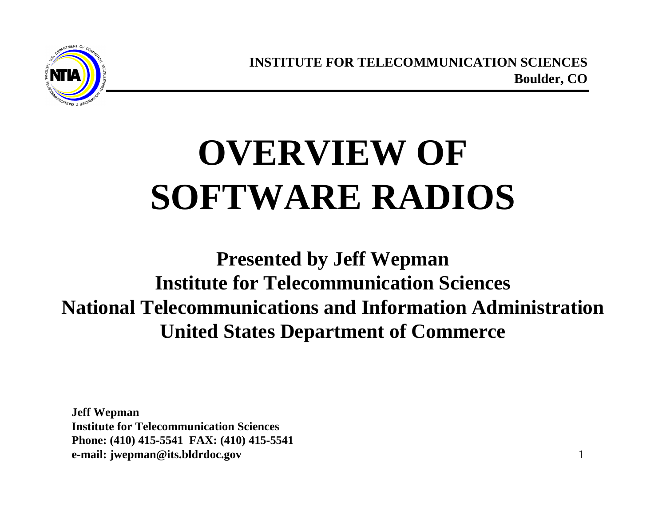**INSTITUTE FOR TELECOMMUNICATION SCIENCES Boulder, CO**

# **OVERVIEW OF SOFTWARE RADIOS**

**Presented by Jeff Wepman Institute for Telecommunication Sciences National Telecommunications and Information Administration United States Department of Commerce**

**Jeff Wepman Institute for Telecommunication Sciences Phone: (410) 415-5541 FAX: (410) 415-5541 e-mail: jwepman@its.bldrdoc.gov**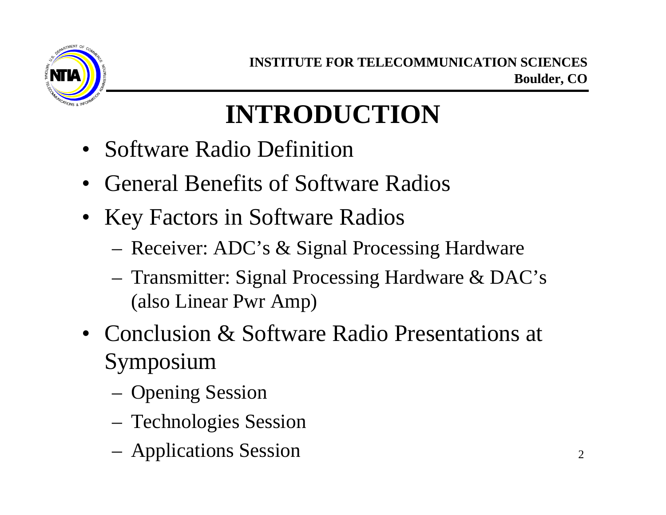

#### **INTRODUCTION**

- Software Radio Definition
- General Benefits of Software Radios
- Key Factors in Software Radios
	- Receiver: ADC's & Signal Processing Hardware
	- Transmitter: Signal Processing Hardware & DAC's (also Linear Pwr Amp)
- Conclusion & Software Radio Presentations at Symposium
	- Opening Session
	- Technologies Session
	- Applications Session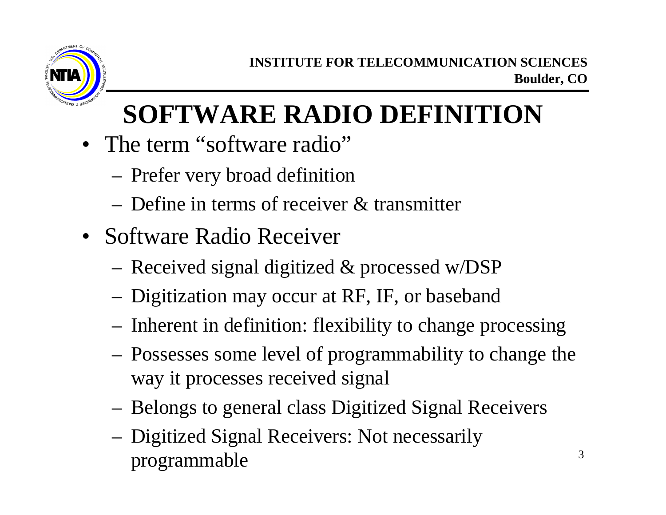

### **SOFTWARE RADIO DEFINITION**

- The term "software radio"
	- Prefer very broad definition
	- Define in terms of receiver & transmitter
- Software Radio Receiver
	- Received signal digitized & processed w/DSP
	- Digitization may occur at RF, IF, or baseband
	- Inherent in definition: flexibility to change processing
	- Possesses some level of programmability to change the way it processes received signal
	- Belongs to general class Digitized Signal Receivers
	- Digitized Signal Receivers: Not necessarily programmable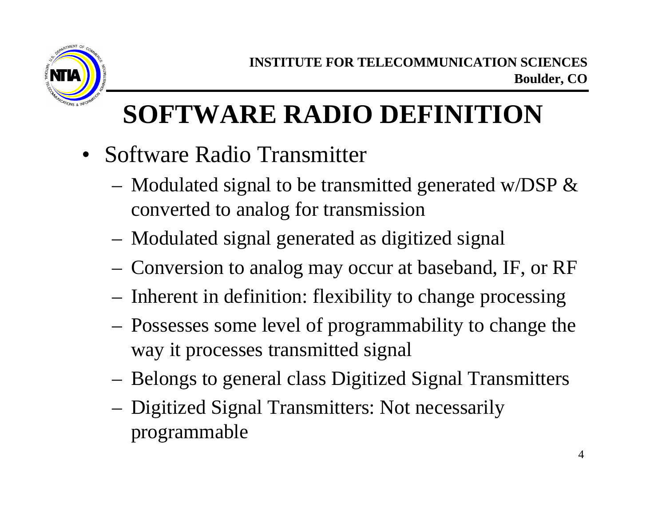

#### **SOFTWARE RADIO DEFINITION**

- Software Radio Transmitter
	- Modulated signal to be transmitted generated w/DSP  $\&$ converted to analog for transmission
	- Modulated signal generated as digitized signal
	- Conversion to analog may occur at baseband, IF, or RF
	- Inherent in definition: flexibility to change processing
	- Possesses some level of programmability to change the way it processes transmitted signal
	- Belongs to general class Digitized Signal Transmitters
	- Digitized Signal Transmitters: Not necessarily programmable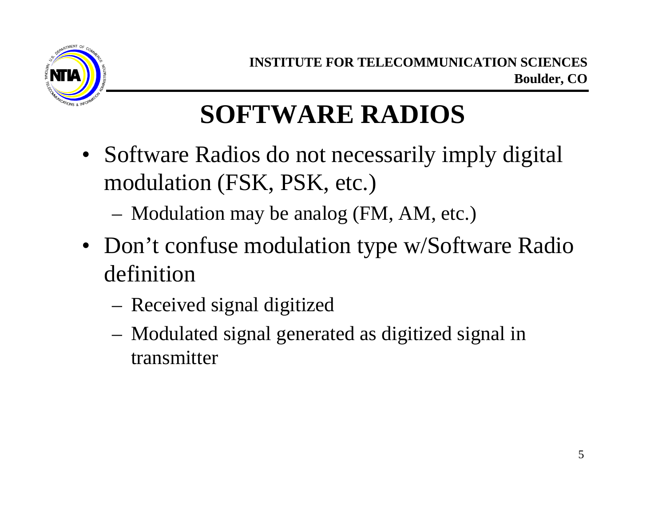

#### **SOFTWARE RADIOS**

- Software Radios do not necessarily imply digital modulation (FSK, PSK, etc.)
	- Modulation may be analog (FM, AM, etc.)
- Don't confuse modulation type w/Software Radio definition
	- Received signal digitized
	- Modulated signal generated as digitized signal in transmitter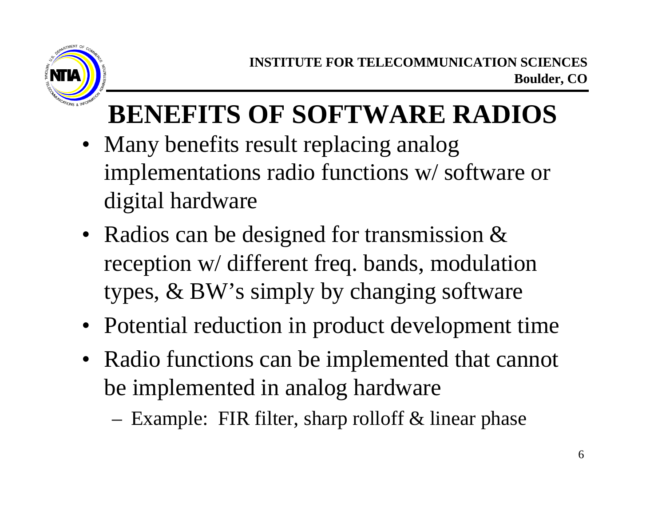

### **BENEFITS OF SOFTWARE RADIOS**

- Many benefits result replacing analog implementations radio functions w/ software or digital hardware
- Radios can be designed for transmission & reception w/ different freq. bands, modulation types, & BW's simply by changing software
- Potential reduction in product development time
- Radio functions can be implemented that cannot be implemented in analog hardware
	- Example: FIR filter, sharp rolloff  $&$  linear phase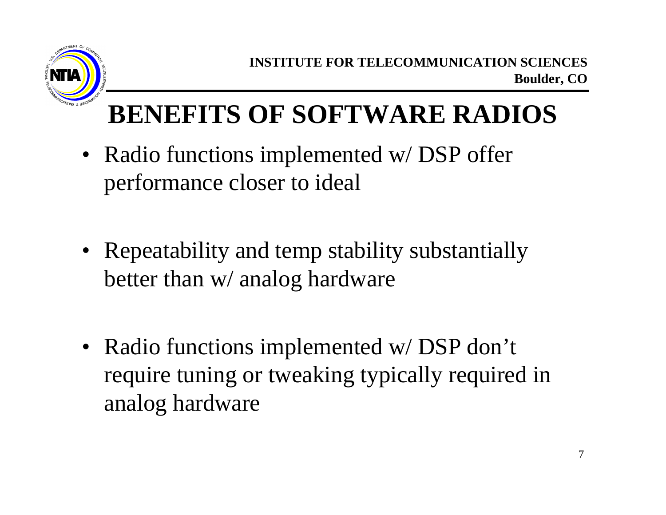

#### **BENEFITS OF SOFTWARE RADIOS**

- Radio functions implemented w/DSP offer performance closer to ideal
- Repeatability and temp stability substantially better than w/ analog hardware
- Radio functions implemented w/DSP don't require tuning or tweaking typically required in analog hardware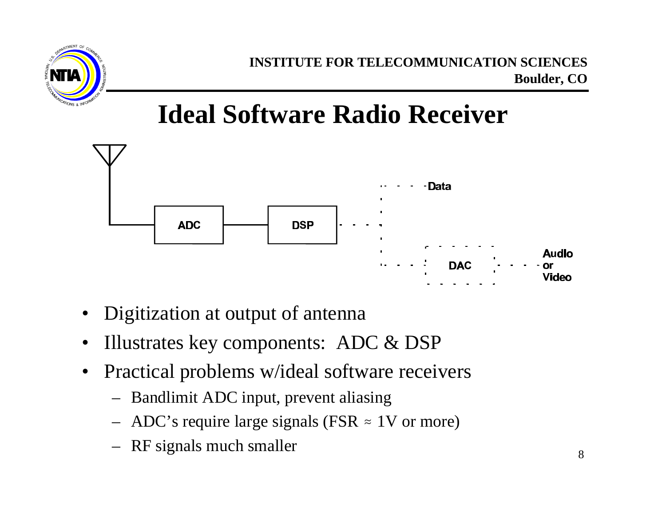

**Ideal Software Radio Receiver**



- Digitization at output of antenna
- Illustrates key components: ADC & DSP
- Practical problems w/ideal software receivers
	- Bandlimit ADC input, prevent aliasing
	- ADC's require large signals (FSR  $\approx$  1V or more)
	- RF signals much smaller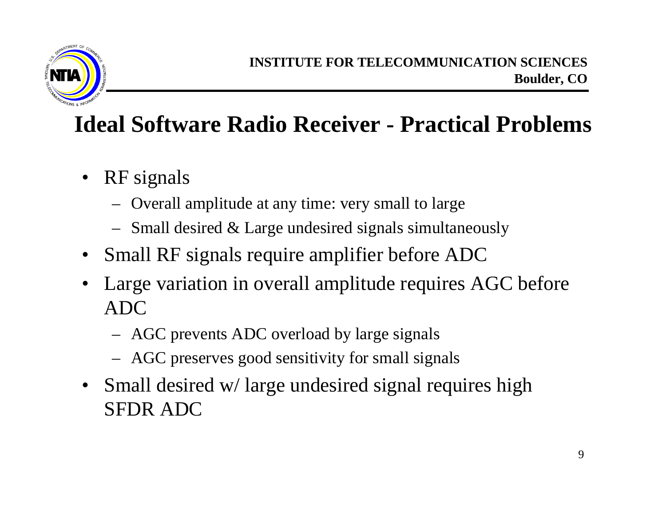

#### **Ideal Software Radio Receiver - Practical Problems**

- RF signals
	- Overall amplitude at any time: very small to large
	- Small desired & Large undesired signals simultaneously
- Small RF signals require amplifier before ADC
- Large variation in overall amplitude requires AGC before ADC
	- AGC prevents ADC overload by large signals
	- AGC preserves good sensitivity for small signals
- Small desired w/large undesired signal requires high SFDR ADC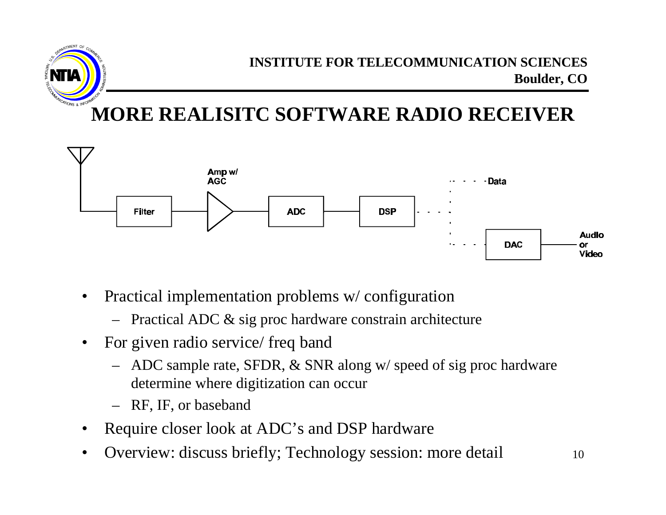



- Practical implementation problems w/ configuration
	- Practical ADC & sig proc hardware constrain architecture
- For given radio service/ freq band
	- ADC sample rate, SFDR, & SNR along w/ speed of sig proc hardware determine where digitization can occur
	- RF, IF, or baseband
- Require closer look at ADC's and DSP hardware
- Overview: discuss briefly; Technology session: more detail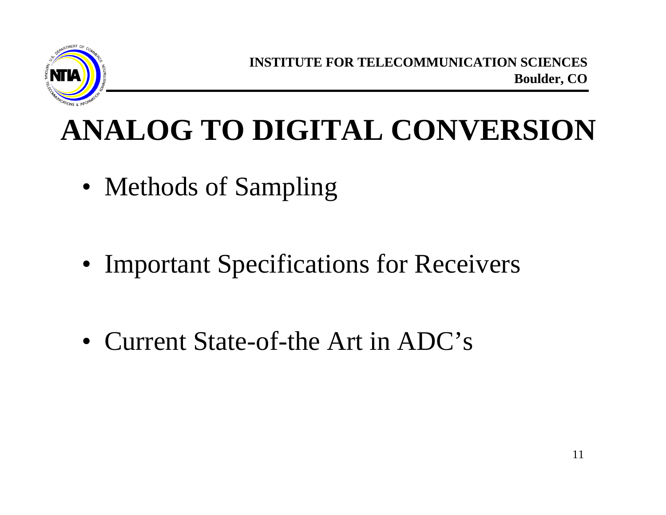

**INSTITUTE FOR TELECOMMUNICATION SCIENCES Boulder, CO**

### **ANALOG TO DIGITAL CONVERSION**

- Methods of Sampling
- Important Specifications for Receivers
- Current State-of-the Art in ADC's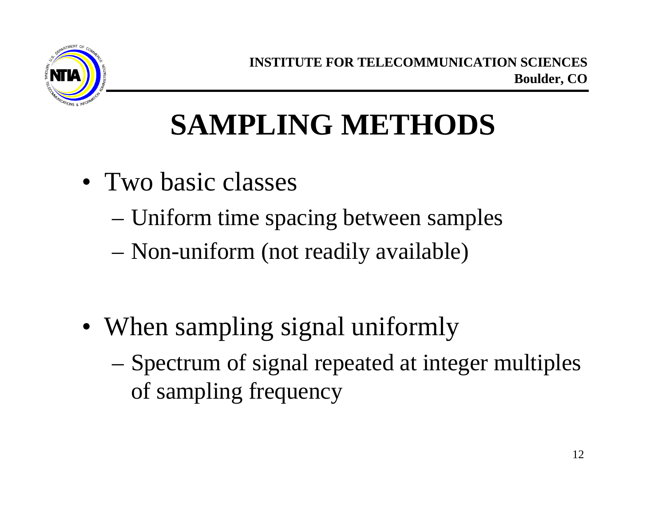

# **SAMPLING METHODS**

- Two basic classes
	- Uniform time spacing between samples
	- Non-uniform (not readily available)
- When sampling signal uniformly
	- Spectrum of signal repeated at integer multiples of sampling frequency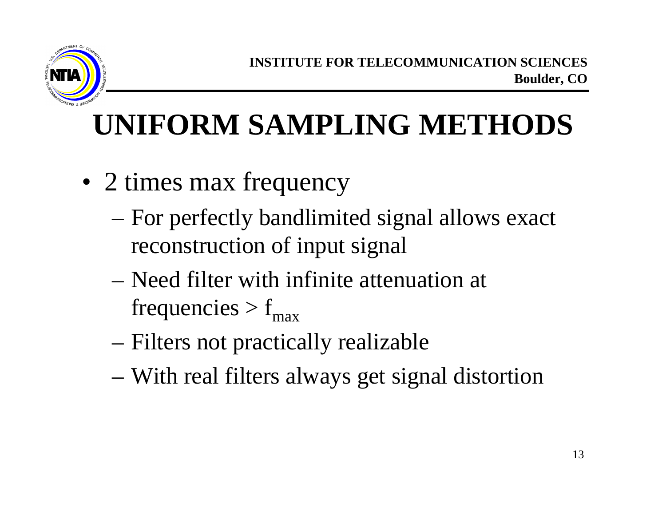

# **UNIFORM SAMPLING METHODS**

- 2 times max frequency
	- For perfectly bandlimited signal allows exact reconstruction of input signal
	- Need filter with infinite attenuation at frequencies  $> f_{\text{max}}$
	- Filters not practically realizable
	- With real filters always get signal distortion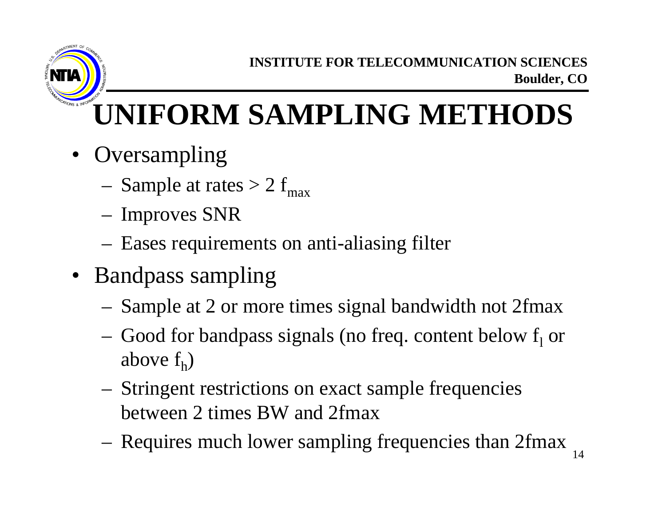

# **UNIFORM SAMPLING METHODS**

- Oversampling
	- Sample at rates  $> 2 f_{max}$
	- Improves SNR
	- Eases requirements on anti-aliasing filter
- Bandpass sampling
	- Sample at 2 or more times signal bandwidth not 2fmax
	- $-$  Good for bandpass signals (no freq. content below  $f_1$  or above  $f_h$ )
	- Stringent restrictions on exact sample frequencies between 2 times BW and 2fmax
	- Requires much lower sampling frequencies than 2fmax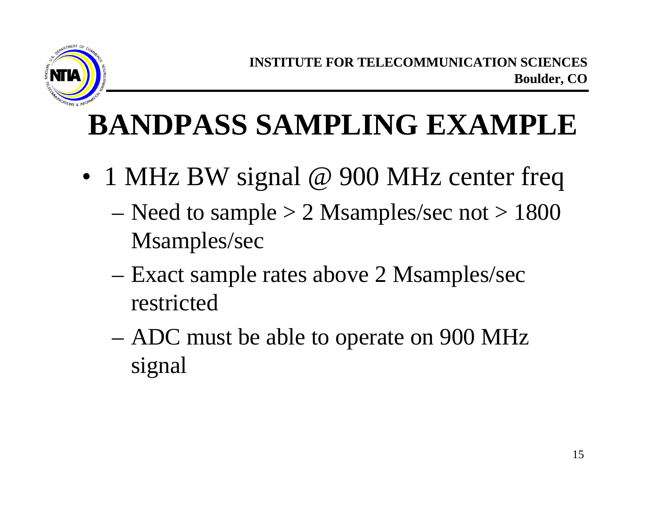

## **BANDPASS SAMPLING EXAMPLE**

- 1 MHz BW signal @ 900 MHz center freq
	- Need to sample  $> 2$  Msamples/sec not  $> 1800$ Msamples/sec
	- Exact sample rates above 2 Msamples/sec restricted
	- ADC must be able to operate on 900 MHz signal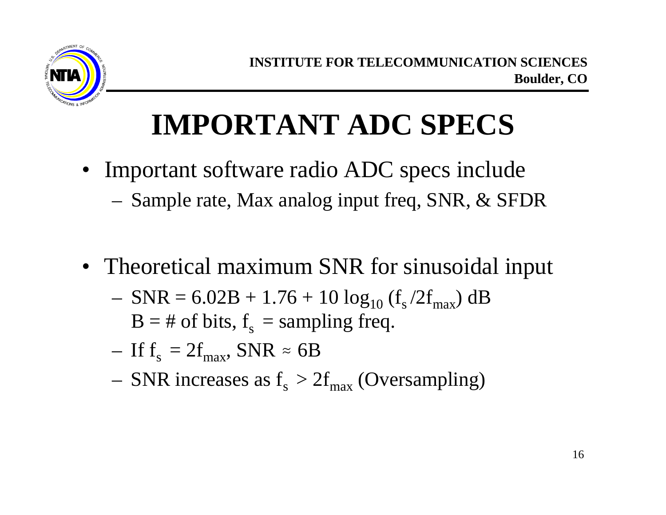

## **IMPORTANT ADC SPECS**

- Important software radio ADC specs include
	- Sample rate, Max analog input freq, SNR, & SFDR
- Theoretical maximum SNR for sinusoidal input
	- $-$  SNR = 6.02B + 1.76 + 10  $\log_{10}$  (f<sub>s</sub>/2f<sub>max</sub>) dB  $B = #$  of bits,  $f_s$  = sampling freq.
	- If  $f_s = 2f_{max}$ , SNR  $\approx 6B$
	- $-$  SNR increases as  $f_s > 2f_{max}$  (Oversampling)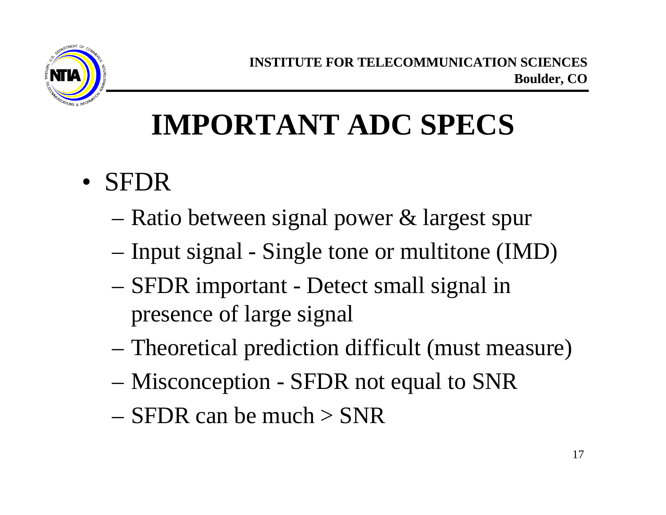

## **IMPORTANT ADC SPECS**

- SFDR
	- Ratio between signal power & largest spur
	- Input signal Single tone or multitone (IMD)
	- SFDR important Detect small signal in presence of large signal
	- Theoretical prediction difficult (must measure)
	- Misconception SFDR not equal to SNR
	- $-$  SFDR can be much  $>$  SNR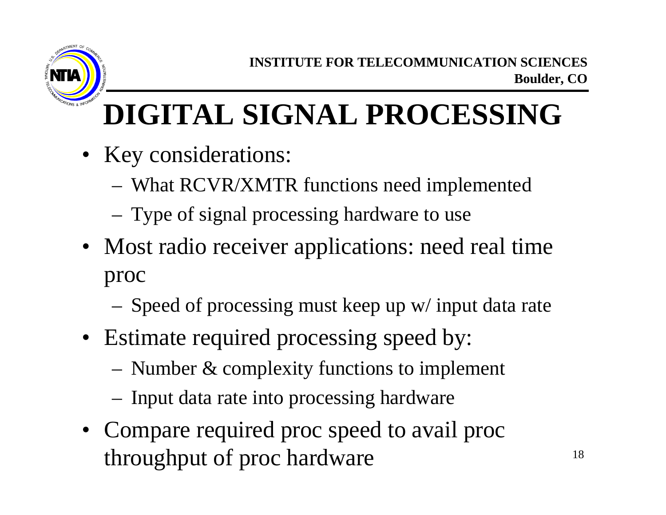

# **DIGITAL SIGNAL PROCESSING**

- Key considerations:
	- What RCVR/XMTR functions need implemented
	- Type of signal processing hardware to use
- Most radio receiver applications: need real time proc
	- Speed of processing must keep up w/ input data rate
- Estimate required processing speed by:
	- Number & complexity functions to implement
	- Input data rate into processing hardware
- Compare required proc speed to avail proc throughput of proc hardware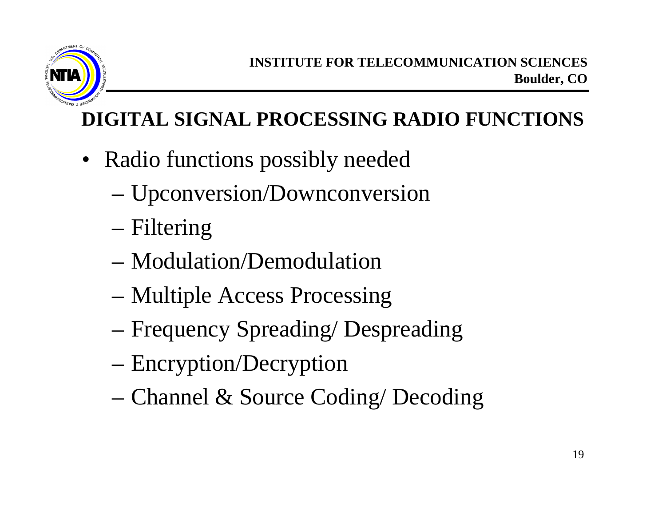

#### **DIGITAL SIGNAL PROCESSING RADIO FUNCTIONS**

- Radio functions possibly needed
	- Upconversion/Downconversion
	- Filtering
	- Modulation/Demodulation
	- Multiple Access Processing
	- Frequency Spreading/ Despreading
	- Encryption/Decryption
	- Channel & Source Coding/ Decoding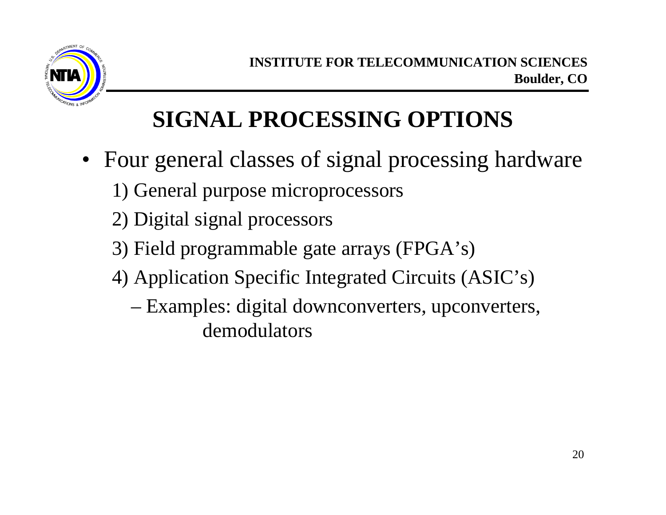

#### **SIGNAL PROCESSING OPTIONS**

- Four general classes of signal processing hardware
	- 1) General purpose microprocessors
	- 2) Digital signal processors
	- 3) Field programmable gate arrays (FPGA's)
	- 4) Application Specific Integrated Circuits (ASIC's)
		- Examples: digital downconverters, upconverters, demodulators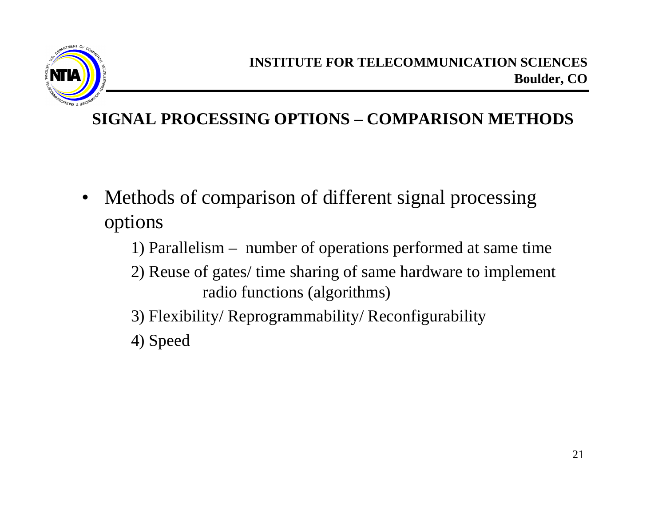

#### **SIGNAL PROCESSING OPTIONS – COMPARISON METHODS**

- Methods of comparison of different signal processing options
	- 1) Parallelism number of operations performed at same time
	- 2) Reuse of gates/ time sharing of same hardware to implement radio functions (algorithms)
	- 3) Flexibility/ Reprogrammability/ Reconfigurability
	- 4) Speed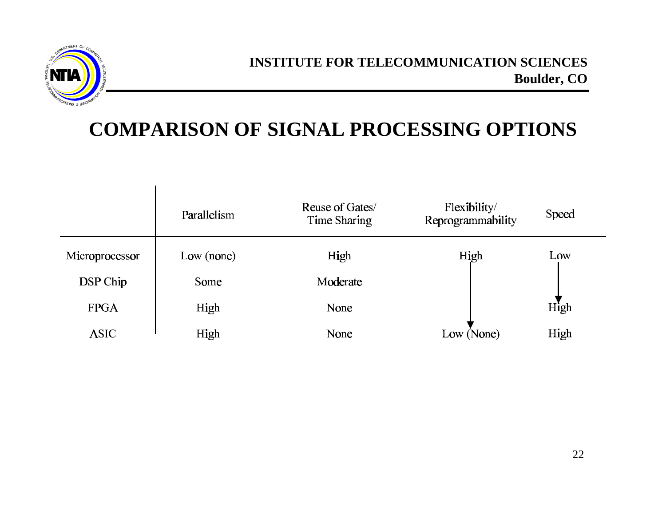

 $\blacksquare$ 

#### **COMPARISON OF SIGNAL PROCESSING OPTIONS**

|                | Parallelism | Reuse of Gates/<br>Time Sharing | Flexibility/<br>Reprogrammability | Speed |
|----------------|-------------|---------------------------------|-----------------------------------|-------|
| Microprocessor | Low (none)  | High                            | High                              | Low   |
| DSP Chip       | Some        | Moderate                        |                                   |       |
| <b>FPGA</b>    | High        | None                            |                                   | High  |
| <b>ASIC</b>    | High        | None                            | Low (None)                        | High  |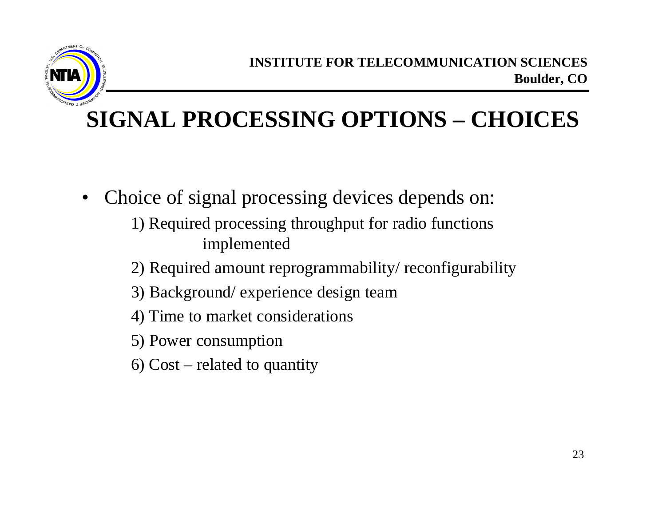

#### **SIGNAL PROCESSING OPTIONS – CHOICES**

- Choice of signal processing devices depends on:
	- 1) Required processing throughput for radio functions implemented
	- 2) Required amount reprogrammability/ reconfigurability
	- 3) Background/ experience design team
	- 4) Time to market considerations
	- 5) Power consumption
	- 6) Cost related to quantity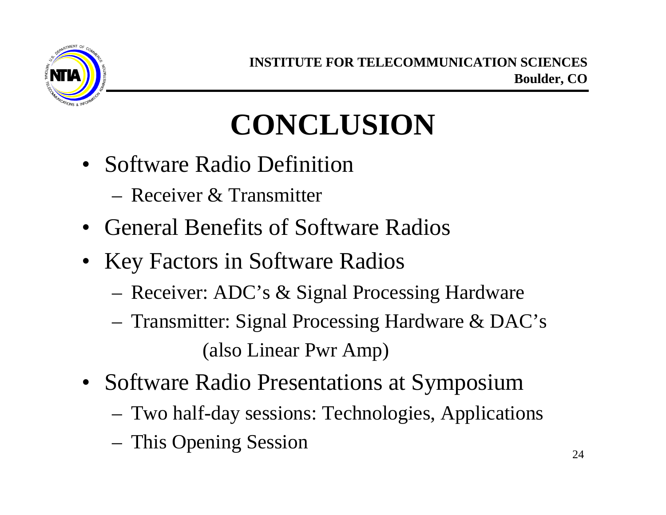

## **CONCLUSION**

- Software Radio Definition
	- Receiver & Transmitter
- General Benefits of Software Radios
- Key Factors in Software Radios
	- Receiver: ADC's & Signal Processing Hardware
	- Transmitter: Signal Processing Hardware & DAC's (also Linear Pwr Amp)
- Software Radio Presentations at Symposium
	- Two half-day sessions: Technologies, Applications
	- This Opening Session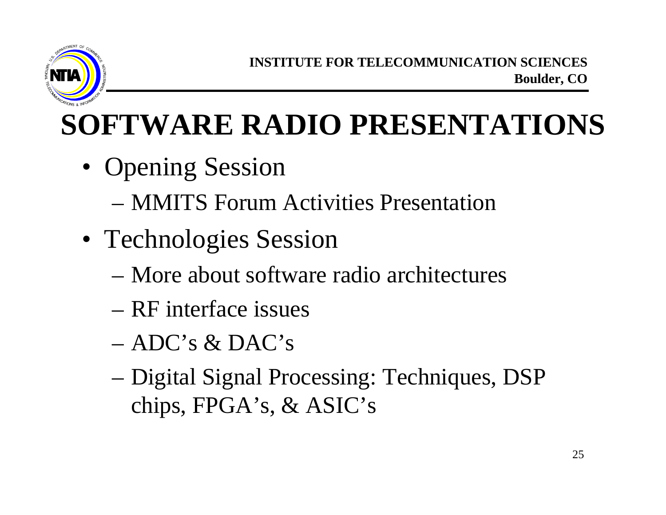

# **SOFTWARE RADIO PRESENTATIONS**

- Opening Session
	- MMITS Forum Activities Presentation
- Technologies Session
	- More about software radio architectures
	- RF interface issues
	- ADC's & DAC's
	- Digital Signal Processing: Techniques, DSP chips, FPGA's, & ASIC's